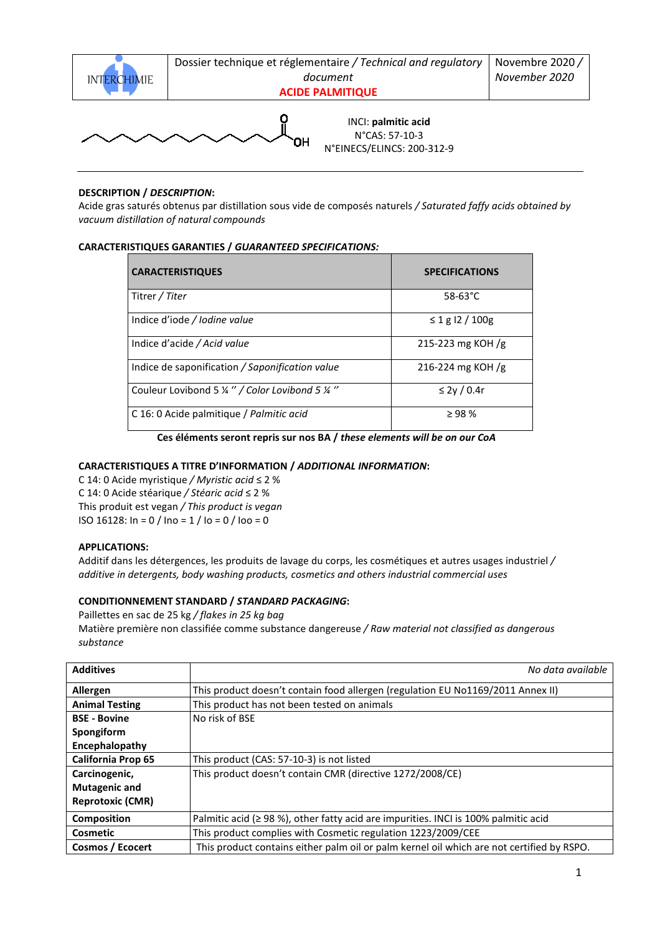

Dossier technique et réglementaire */ Technical and regulatory document*

**ACIDE PALMITIQUE** 

O

INCI: **palmitic acid** N°CAS: 57-10-3 N°EINECS/ELINCS: 200-312-9

## **DESCRIPTION /** *DESCRIPTION***:**

Acide gras saturés obtenus par distillation sous vide de composés naturels */ Saturated faffy acids obtained by vacuum distillation of natural compounds* 

# **CARACTERISTIQUES GARANTIES /** *GUARANTEED SPECIFICATIONS:*

| <b>CARACTERISTIQUES</b>                         | <b>SPECIFICATIONS</b> |
|-------------------------------------------------|-----------------------|
| Titrer / Titer                                  | $58 - 63^{\circ}C$    |
| Indice d'iode / Iodine value                    | $\leq 1$ g l2 / 100g  |
| Indice d'acide / Acid value                     | 215-223 mg KOH /g     |
| Indice de saponification / Saponification value | 216-224 mg KOH /g     |
| Couleur Lovibond 5 ¼ " / Color Lovibond 5 ¼ "   | $\leq$ 2y / 0.4r      |
| C 16: 0 Acide palmitique / Palmitic acid        | $\geq$ 98 %           |

**Ces éléments seront repris sur nos BA /** *these elements will be on our CoA* 

## **CARACTERISTIQUES A TITRE D'INFORMATION /** *ADDITIONAL INFORMATION***:**

C 14: 0 Acide myristique */ Myristic acid* ≤ 2 % C 14: 0 Acide stéarique */ Stéaric acid* ≤ 2 % This produit est vegan */ This product is vegan*  ISO 16128: In = 0 / Ino = 1 / Io = 0 / Ioo = 0

## **APPLICATIONS:**

Additif dans les détergences, les produits de lavage du corps, les cosmétiques et autres usages industriel */ additive in detergents, body washing products, cosmetics and others industrial commercial uses* 

## **CONDITIONNEMENT STANDARD /** *STANDARD PACKAGING***:**

Paillettes en sac de 25 kg */ flakes in 25 kg bag*

Matière première non classifiée comme substance dangereuse */ Raw material not classified as dangerous substance* 

| <b>Additives</b>          | No data available                                                                         |
|---------------------------|-------------------------------------------------------------------------------------------|
| Allergen                  | This product doesn't contain food allergen (regulation EU No1169/2011 Annex II)           |
| <b>Animal Testing</b>     | This product has not been tested on animals                                               |
| <b>BSE - Bovine</b>       | No risk of BSE                                                                            |
| Spongiform                |                                                                                           |
| Encephalopathy            |                                                                                           |
| <b>California Prop 65</b> | This product (CAS: 57-10-3) is not listed                                                 |
| Carcinogenic,             | This product doesn't contain CMR (directive 1272/2008/CE)                                 |
| <b>Mutagenic and</b>      |                                                                                           |
| <b>Reprotoxic (CMR)</b>   |                                                                                           |
| Composition               | Palmitic acid ( $\geq$ 98 %), other fatty acid are impurities. INCI is 100% palmitic acid |
| Cosmetic                  | This product complies with Cosmetic regulation 1223/2009/CEE                              |
| Cosmos / Ecocert          | This product contains either palm oil or palm kernel oil which are not certified by RSPO. |